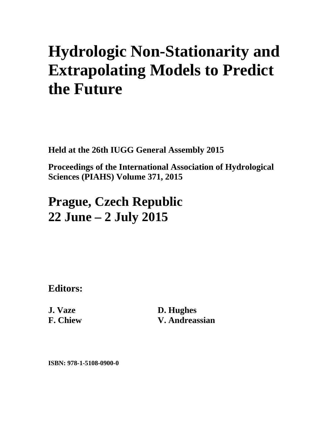## **Hydrologic Non-Stationarity and Extrapolating Models to Predict the Future**

**Held at the 26th IUGG General Assembly 2015** 

**Proceedings of the International Association of Hydrological Sciences (PIAHS) Volume 371, 2015** 

## **Prague, Czech Republic 22 June – 2 July 2015**

**Editors:** 

**J. Vaze F. Chiew**  **D. Hughes V. Andreassian** 

**ISBN: 978-1-5108-0900-0**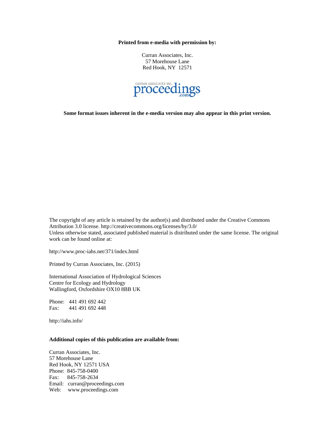**Printed from e-media with permission by:** 

Curran Associates, Inc. 57 Morehouse Lane Red Hook, NY 12571



**Some format issues inherent in the e-media version may also appear in this print version.** 

The copyright of any article is retained by the author(s) and distributed under the Creative Commons Attribution 3.0 license. http://creativecommons.org/licenses/by/3.0/ Unless otherwise stated, associated published material is distributed under the same license. The original work can be found online at:

http://www.proc-iahs.net/371/index.html

Printed by Curran Associates, Inc. (2015)

International Association of Hydrological Sciences Centre for Ecology and Hydrology Wallingford, Oxfordshire OX10 8BB UK

Phone: 441 491 692 442 Fax: 441 491 692 448

http://iahs.info/

## **Additional copies of this publication are available from:**

Curran Associates, Inc. 57 Morehouse Lane Red Hook, NY 12571 USA Phone: 845-758-0400 Fax: 845-758-2634 Email: curran@proceedings.com Web: www.proceedings.com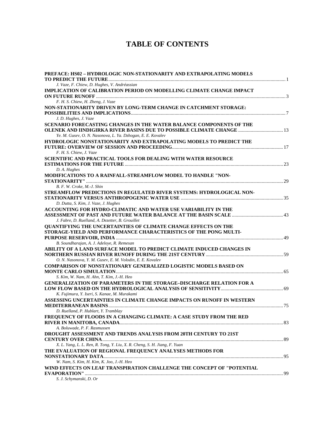## **TABLE OF CONTENTS**

| PREFACE: HS02 - HYDROLOGIC NON-STATIONARITY AND EXTRAPOLATING MODELS         |  |
|------------------------------------------------------------------------------|--|
| J. Vaze, F. Chiew, D. Hughes, V. Andréassian                                 |  |
| IMPLICATION OF CALIBRATION PERIOD ON MODELLING CLIMATE CHANGE IMPACT         |  |
| F. H. S. Chiew, H. Zheng, J. Vaze                                            |  |
| NON-STATIONARITY DRIVEN BY LONG-TERM CHANGE IN CATCHMENT STORAGE:            |  |
|                                                                              |  |
| J. D. Hughes, J. Vaze                                                        |  |
| SCENARIO FORECASTING CHANGES IN THE WATER BALANCE COMPONENTS OF THE          |  |
| <b>OLENEK AND IINDIGIRKA RIVER BASINS DUE TO POSSIBLE CLIMATE CHANGE  13</b> |  |
| Ye. M. Gusev, O. N. Nasonova, L. Ya. Dzhogan, E. E. Kovalev                  |  |
| HYDROLOGIC NONSTATIONARITY AND EXTRAPOLATING MODELS TO PREDICT THE           |  |
|                                                                              |  |
| F. H. S. Chiew, J. Vaze                                                      |  |
| <b>SCIENTIFIC AND PRACTICAL TOOLS FOR DEALING WITH WATER RESOURCE</b>        |  |
|                                                                              |  |
| D. A. Hughes                                                                 |  |
| MODIFICATIONS TO A RAINFALL-STREAMFLOW MODEL TO HANDLE "NON-                 |  |
|                                                                              |  |
| B. F. W. Croke, M.-J. Shin                                                   |  |
|                                                                              |  |
| STREAMFLOW PREDICTIONS IN REGULATED RIVER SYSTEMS: HYDROLOGICAL NON-         |  |
|                                                                              |  |
| D. Dutta, S. Kim, J. Vaze, J. Hughes                                         |  |
| ACCOUNTING FOR HYDRO-CLIMATIC AND WATER USE VARIABILITY IN THE               |  |
|                                                                              |  |
| J. Fabre, D. Ruelland, A. Dezetter, B. Grouillet                             |  |
| <b>OUANTIFYING THE UNCERTAINTIES OF CLIMATE CHANGE EFFECTS ON THE</b>        |  |
| STORAGE-YIELD AND PERFORMANCE CHARACTERISTICS OF THE PONG MULTI-             |  |
|                                                                              |  |
| B. Soundharajan, A. J. Adeloye, R. Remesan                                   |  |
| ABILITY OF A LAND SURFACE MODEL TO PREDICT CLIMATE INDUCED CHANGES IN        |  |
|                                                                              |  |
| O. N. Nasonova, Y. M. Gusev, E. M. Volodin, E. E. Kovalev                    |  |
| <b>COMPARISON OF NONSTATIONARY GENERALIZED LOGISTIC MODELS BASED ON</b>      |  |
|                                                                              |  |
| S. Kim, W. Nam, H. Ahn, T. Kim, J.-H. Heo                                    |  |
| <b>GENERALIZATION OF PARAMETERS IN THE STORAGE-DISCHARGE RELATION FOR A</b>  |  |
|                                                                              |  |
| K. Fujimura, Y. Iseri, S. Kanae, M. Murakami                                 |  |
| ASSESSING UNCERTAINTIES IN CLIMATE CHANGE IMPACTS ON RUNOFF IN WESTERN       |  |
|                                                                              |  |
| D. Ruelland, P. Hublart, Y. Tramblay                                         |  |
| FREQUENCY OF FLOODS IN A CHANGING CLIMATE: A CASE STUDY FROM THE RED         |  |
|                                                                              |  |
| A. Boluwade, P. F. Rasmussen                                                 |  |
| <b>DROUGHT ASSESSMENT AND TRENDS ANALYSIS FROM 20TH CENTURY TO 21ST</b>      |  |
|                                                                              |  |
| X. L. Yang, L. L. Ren, R. Tong, Y. Liu, X. R. Cheng, S. H. Jiang, F. Yuan    |  |
| THE EVALUATION OF REGIONAL FREQUENCY ANALYSES METHODS FOR                    |  |
|                                                                              |  |
| W. Nam, S. Kim, H. Kim, K. Joo, J.-H. Heo                                    |  |
| WIND EFFECTS ON LEAF TRANSPIRATION CHALLENGE THE CONCEPT OF "POTENTIAL       |  |
|                                                                              |  |
| S. J. Schymanski, D. Or                                                      |  |